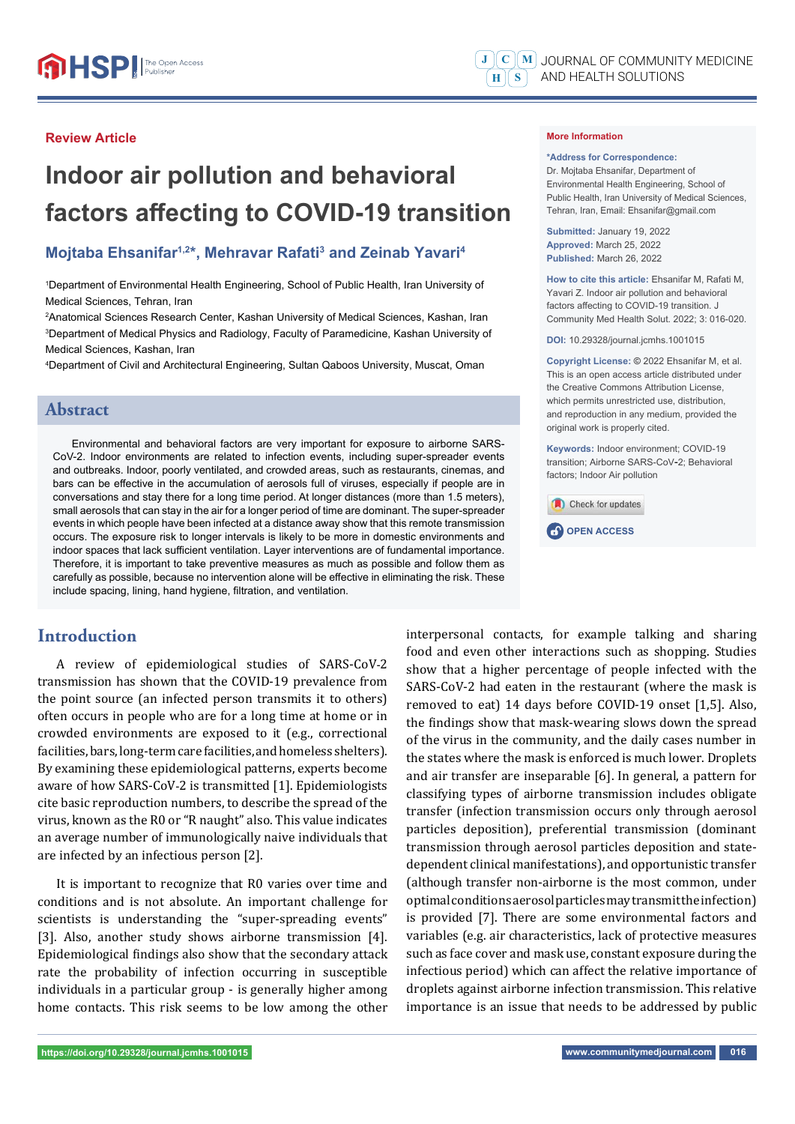#### **Review Article**

# **Indoor air pollution and behavioral factors affecting to COVID-19 transition**

## **Mojtaba Ehsanifar<sup>1,2\*</sup>, Mehravar Rafati<sup>3</sup> and Zeinab Yavari<sup>4</sup>**

1 Department of Environmental Health Engineering, School of Public Health, Iran University of Medical Sciences, Tehran, Iran

2 Anatomical Sciences Research Center, Kashan University of Medical Sciences, Kashan, Iran 3 Department of Medical Physics and Radiology, Faculty of Paramedicine, Kashan University of Medical Sciences, Kashan, Iran

4 Department of Civil and Architectural Engineering, Sultan Qaboos University, Muscat, Oman

## **Abstract**

Environmental and behavioral factors are very important for exposure to airborne SARS-CoV-2. Indoor environments are related to infection events, including super-spreader events and outbreaks. Indoor, poorly ventilated, and crowded areas, such as restaurants, cinemas, and bars can be effective in the accumulation of aerosols full of viruses, especially if people are in conversations and stay there for a long time period. At longer distances (more than 1.5 meters), small aerosols that can stay in the air for a longer period of time are dominant. The super-spreader events in which people have been infected at a distance away show that this remote transmission occurs. The exposure risk to longer intervals is likely to be more in domestic environments and indoor spaces that lack sufficient ventilation. Layer interventions are of fundamental importance. Therefore, it is important to take preventive measures as much as possible and follow them as carefully as possible, because no intervention alone will be effective in eliminating the risk. These include spacing, lining, hand hygiene, filtration, and ventilation.

# **Introduction**

A review of epidemiological studies of SARS-CoV-2 transmission has shown that the COVID-19 prevalence from the point source (an infected person transmits it to others) often occurs in people who are for a long time at home or in crowded environments are exposed to it (e.g., correctional facilities, bars, long-term care facilities, and homeless shelters). By examining these epidemiological patterns, experts become aware of how SARS-CoV-2 is transmitted [1]. Epidemiologists cite basic reproduction numbers, to describe the spread of the virus, known as the R0 or "R naught" also. This value indicates an average number of immunologically naive individuals that are infected by an infectious person [2].

It is important to recognize that R0 varies over time and conditions and is not absolute. An important challenge for scientists is understanding the "super-spreading events" [3]. Also, another study shows airborne transmission [4]. Epidemiological findings also show that the secondary attack rate the probability of infection occurring in susceptible individuals in a particular group - is generally higher among home contacts. This risk seems to be low among the other interpersonal contacts, for example talking and sharing food and even other interactions such as shopping. Studies show that a higher percentage of people infected with the SARS-CoV-2 had eaten in the restaurant (where the mask is removed to eat) 14 days before COVID-19 onset [1,5]. Also, the findings show that mask-wearing slows down the spread of the virus in the community, and the daily cases number in the states where the mask is enforced is much lower. Droplets and air transfer are inseparable [6]. In general, a pattern for classifying types of airborne transmission includes obligate transfer (infection transmission occurs only through aerosol particles deposition), preferential transmission (dominant transmission through aerosol particles deposition and statedependent clinical manifestations), and opportunistic transfer (although transfer non-airborne is the most common, under optimal conditions aerosol particles may transmit the infection) is provided [7]. There are some environmental factors and variables (e.g. air characteristics, lack of protective measures such as face cover and mask use, constant exposure during the infectious period) which can affect the relative importance of droplets against airborne infection transmission. This relative importance is an issue that needs to be addressed by public

#### **More Information**

**\*Address for Correspondence:** Dr. Mojtaba Ehsanifar, Department of

Environmental Health Engineering, School of Public Health, Iran University of Medical Sciences, Tehran, Iran, Email: Ehsanifar@gmail.com

**Submitted:** January 19, 2022 **Approved:** March 25, 2022 **Published:** March 26, 2022

**How to cite this article:** Ehsanifar M, Rafati M, Yavari Z. Indoor air pollution and behavioral factors affecting to COVID-19 transition. J Community Med Health Solut. 2022; 3: 016-020.

**DOI:** 10.29328/journal.jcmhs.1001015

**Copyright License: ©** 2022 Ehsanifar M, et al. This is an open access article distributed under the Creative Commons Attribution License, which permits unrestricted use, distribution, and reproduction in any medium, provided the original work is properly cited.

**Keywords:** Indoor environment; COVID-19 transition; Airborne SARS-CoV-2; Behavioral factors; Indoor Air pollution

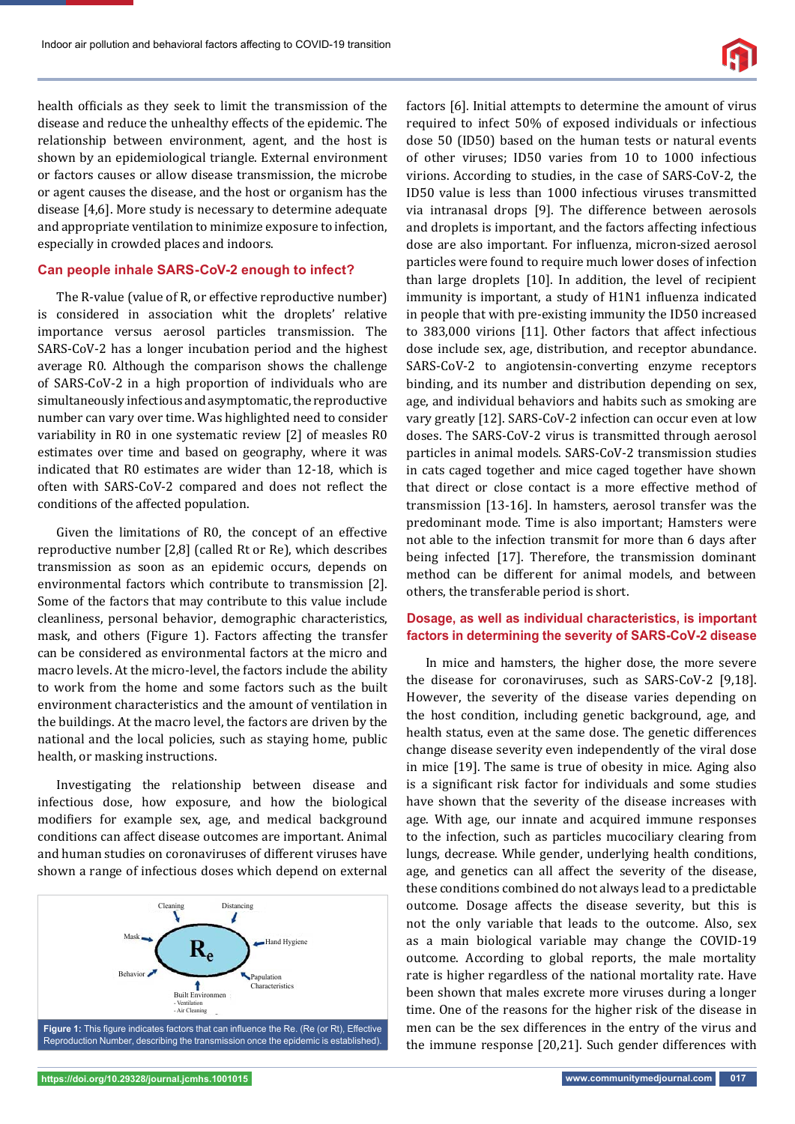

health officials as they seek to limit the transmission of the disease and reduce the unhealthy effects of the epidemic. The relationship between environment, agent, and the host is shown by an epidemiological triangle. External environment or factors causes or allow disease transmission, the microbe or agent causes the disease, and the host or organism has the disease [4,6]. More study is necessary to determine adequate and appropriate ventilation to minimize exposure to infection, especially in crowded places and indoors.

#### **Can people inhale SARS-CoV-2 enough to infect?**

The R-value (value of R, or effective reproductive number) is considered in association whit the droplets' relative importance versus aerosol particles transmission. The SARS-CoV-2 has a longer incubation period and the highest average R0. Although the comparison shows the challenge of SARS-CoV-2 in a high proportion of individuals who are simultaneously infectious and asymptomatic, the reproductive number can vary over time. Was highlighted need to consider variability in R0 in one systematic review [2] of measles R0 estimates over time and based on geography, where it was indicated that R0 estimates are wider than 12-18, which is often with SARS-CoV-2 compared and does not reflect the conditions of the affected population.

Given the limitations of R0, the concept of an effective reproductive number [2,8] (called Rt or Re), which describes transmission as soon as an epidemic occurs, depends on environmental factors which contribute to transmission [2]. Some of the factors that may contribute to this value include cleanliness, personal behavior, demographic characteristics, mask, and others (Figure 1). Factors affecting the transfer can be considered as environmental factors at the micro and macro levels. At the micro-level, the factors include the ability to work from the home and some factors such as the built environment characteristics and the amount of ventilation in the buildings. At the macro level, the factors are driven by the national and the local policies, such as staying home, public health, or masking instructions.

Investigating the relationship between disease and infectious dose, how exposure, and how the biological modifiers for example sex, age, and medical background conditions can affect disease outcomes are important. Animal and human studies on coronaviruses of different viruses have shown a range of infectious doses which depend on external



factors [6]. Initial attempts to determine the amount of virus required to infect 50% of exposed individuals or infectious dose 50 (ID50) based on the human tests or natural events of other viruses; ID50 varies from 10 to 1000 infectious virions. According to studies, in the case of SARS-CoV-2, the ID50 value is less than 1000 infectious viruses transmitted via intranasal drops [9]. The difference between aerosols and droplets is important, and the factors affecting infectious dose are also important. For influenza, micron-sized aerosol particles were found to require much lower doses of infection than large droplets [10]. In addition, the level of recipient immunity is important, a study of H1N1 influenza indicated in people that with pre-existing immunity the ID50 increased to 383,000 virions [11]. Other factors that affect infectious dose include sex, age, distribution, and receptor abundance. SARS-CoV-2 to angiotensin-converting enzyme receptors binding, and its number and distribution depending on sex, age, and individual behaviors and habits such as smoking are vary greatly [12]. SARS-CoV-2 infection can occur even at low doses. The SARS-CoV-2 virus is transmitted through aerosol particles in animal models. SARS-CoV-2 transmission studies in cats caged together and mice caged together have shown that direct or close contact is a more effective method of transmission [13-16]. In hamsters, aerosol transfer was the predominant mode. Time is also important; Hamsters were not able to the infection transmit for more than 6 days after being infected [17]. Therefore, the transmission dominant method can be different for animal models, and between others, the transferable period is short.

#### **Dosage, as well as individual characteristics, is important factors in determining the severity of SARS-CoV-2 disease**

In mice and hamsters, the higher dose, the more severe the disease for coronaviruses, such as SARS-CoV-2 [9,18]. However, the severity of the disease varies depending on the host condition, including genetic background, age, and health status, even at the same dose. The genetic differences change disease severity even independently of the viral dose in mice [19]. The same is true of obesity in mice. Aging also is a significant risk factor for individuals and some studies have shown that the severity of the disease increases with age. With age, our innate and acquired immune responses to the infection, such as particles mucociliary clearing from lungs, decrease. While gender, underlying health conditions, age, and genetics can all affect the severity of the disease, these conditions combined do not always lead to a predictable outcome. Dosage affects the disease severity, but this is not the only variable that leads to the outcome. Also, sex as a main biological variable may change the COVID-19 outcome. According to global reports, the male mortality rate is higher regardless of the national mortality rate. Have been shown that males excrete more viruses during a longer time. One of the reasons for the higher risk of the disease in men can be the sex differences in the entry of the virus and the immune response [20,21]. Such gender differences with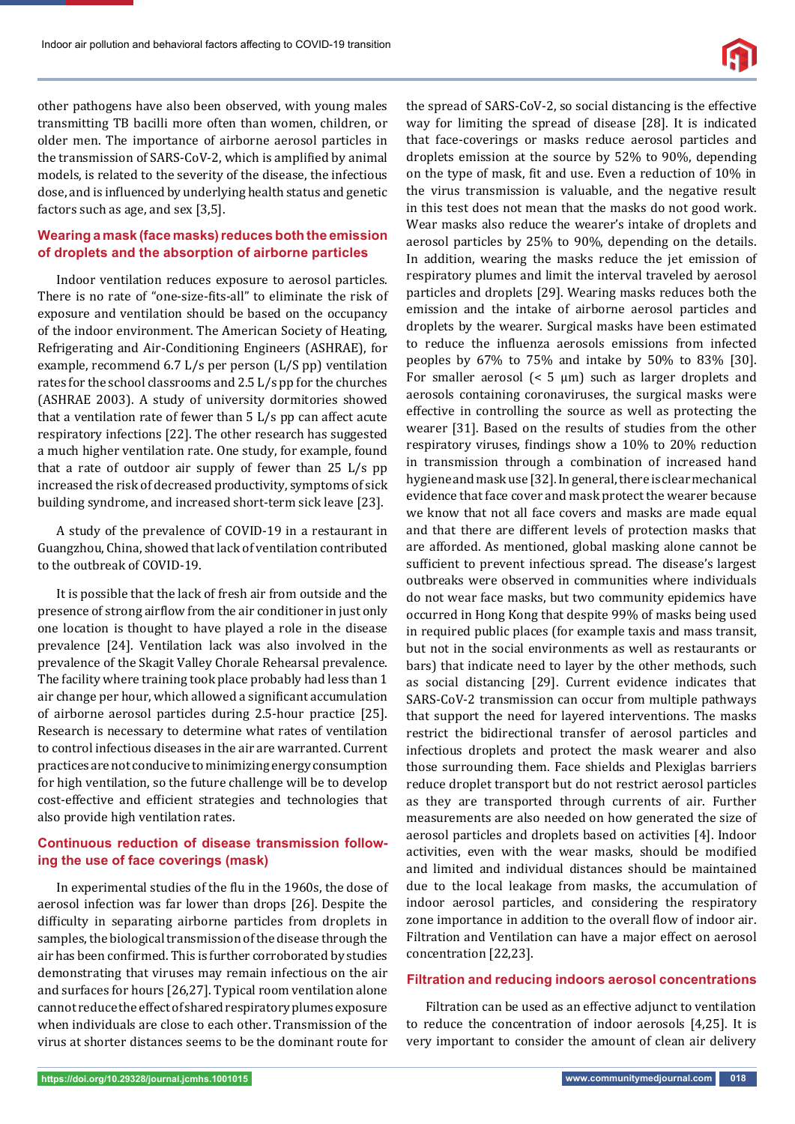

other pathogens have also been observed, with young males transmitting TB bacilli more often than women, children, or older men. The importance of airborne aerosol particles in the transmission of SARS-CoV-2, which is amplified by animal models, is related to the severity of the disease, the infectious dose, and is influenced by underlying health status and genetic factors such as age, and sex [3,5].

#### **Wearing a mask (face masks) reduces both the emission of droplets and the absorption of airborne particles**

Indoor ventilation reduces exposure to aerosol particles. There is no rate of "one-size-fits-all" to eliminate the risk of exposure and ventilation should be based on the occupancy of the indoor environment. The American Society of Heating, Refrigerating and Air-Conditioning Engineers (ASHRAE), for example, recommend 6.7 L/s per person (L/S pp) ventilation rates for the school classrooms and 2.5 L/s pp for the churches (ASHRAE 2003). A study of university dormitories showed that a ventilation rate of fewer than 5 L/s pp can affect acute respiratory infections [22]. The other research has suggested a much higher ventilation rate. One study, for example, found that a rate of outdoor air supply of fewer than 25 L/s pp increased the risk of decreased productivity, symptoms of sick building syndrome, and increased short-term sick leave [23].

A study of the prevalence of COVID-19 in a restaurant in Guangzhou, China, showed that lack of ventilation contributed to the outbreak of COVID-19.

It is possible that the lack of fresh air from outside and the presence of strong airflow from the air conditioner in just only one location is thought to have played a role in the disease prevalence [24]. Ventilation lack was also involved in the prevalence of the Skagit Valley Chorale Rehearsal prevalence. The facility where training took place probably had less than 1 air change per hour, which allowed a significant accumulation of airborne aerosol particles during 2.5-hour practice [25]. Research is necessary to determine what rates of ventilation to control infectious diseases in the air are warranted. Current practices are not conducive to minimizing energy consumption for high ventilation, so the future challenge will be to develop cost-effective and efficient strategies and technologies that also provide high ventilation rates.

### **Continuous reduction of disease transmission following the use of face coverings (mask)**

In experimental studies of the flu in the 1960s, the dose of aerosol infection was far lower than drops [26]. Despite the difficulty in separating airborne particles from droplets in samples, the biological transmission of the disease through the air has been confirmed. This is further corroborated by studies demonstrating that viruses may remain infectious on the air and surfaces for hours [26,27]. Typical room ventilation alone cannot reduce the effect of shared respiratory plumes exposure when individuals are close to each other. Transmission of the virus at shorter distances seems to be the dominant route for the spread of SARS-CoV-2, so social distancing is the effective way for limiting the spread of disease [28]. It is indicated that face-coverings or masks reduce aerosol particles and droplets emission at the source by 52% to 90%, depending on the type of mask, fit and use. Even a reduction of 10% in the virus transmission is valuable, and the negative result in this test does not mean that the masks do not good work. Wear masks also reduce the wearer's intake of droplets and aerosol particles by 25% to 90%, depending on the details. In addition, wearing the masks reduce the jet emission of respiratory plumes and limit the interval traveled by aerosol particles and droplets [29]. Wearing masks reduces both the emission and the intake of airborne aerosol particles and droplets by the wearer. Surgical masks have been estimated to reduce the influenza aerosols emissions from infected peoples by 67% to 75% and intake by 50% to 83% [30]. For smaller aerosol  $\leq 5 \text{ }\mu\text{m}$  such as larger droplets and aerosols containing coronaviruses, the surgical masks were effective in controlling the source as well as protecting the wearer [31]. Based on the results of studies from the other respiratory viruses, findings show a 10% to 20% reduction in transmission through a combination of increased hand hygiene and mask use [32]. In general, there is clear mechanical evidence that face cover and mask protect the wearer because we know that not all face covers and masks are made equal and that there are different levels of protection masks that are afforded. As mentioned, global masking alone cannot be sufficient to prevent infectious spread. The disease's largest outbreaks were observed in communities where individuals do not wear face masks, but two community epidemics have occurred in Hong Kong that despite 99% of masks being used in required public places (for example taxis and mass transit, but not in the social environments as well as restaurants or bars) that indicate need to layer by the other methods, such as social distancing [29]. Current evidence indicates that SARS-CoV-2 transmission can occur from multiple pathways that support the need for layered interventions. The masks restrict the bidirectional transfer of aerosol particles and infectious droplets and protect the mask wearer and also those surrounding them. Face shields and Plexiglas barriers reduce droplet transport but do not restrict aerosol particles as they are transported through currents of air. Further measurements are also needed on how generated the size of aerosol particles and droplets based on activities [4]. Indoor activities, even with the wear masks, should be modified and limited and individual distances should be maintained due to the local leakage from masks, the accumulation of indoor aerosol particles, and considering the respiratory zone importance in addition to the overall flow of indoor air. Filtration and Ventilation can have a major effect on aerosol concentration [22,23].

#### **Filtration and reducing indoors aerosol concentrations**

Filtration can be used as an effective adjunct to ventilation to reduce the concentration of indoor aerosols [4,25]. It is very important to consider the amount of clean air delivery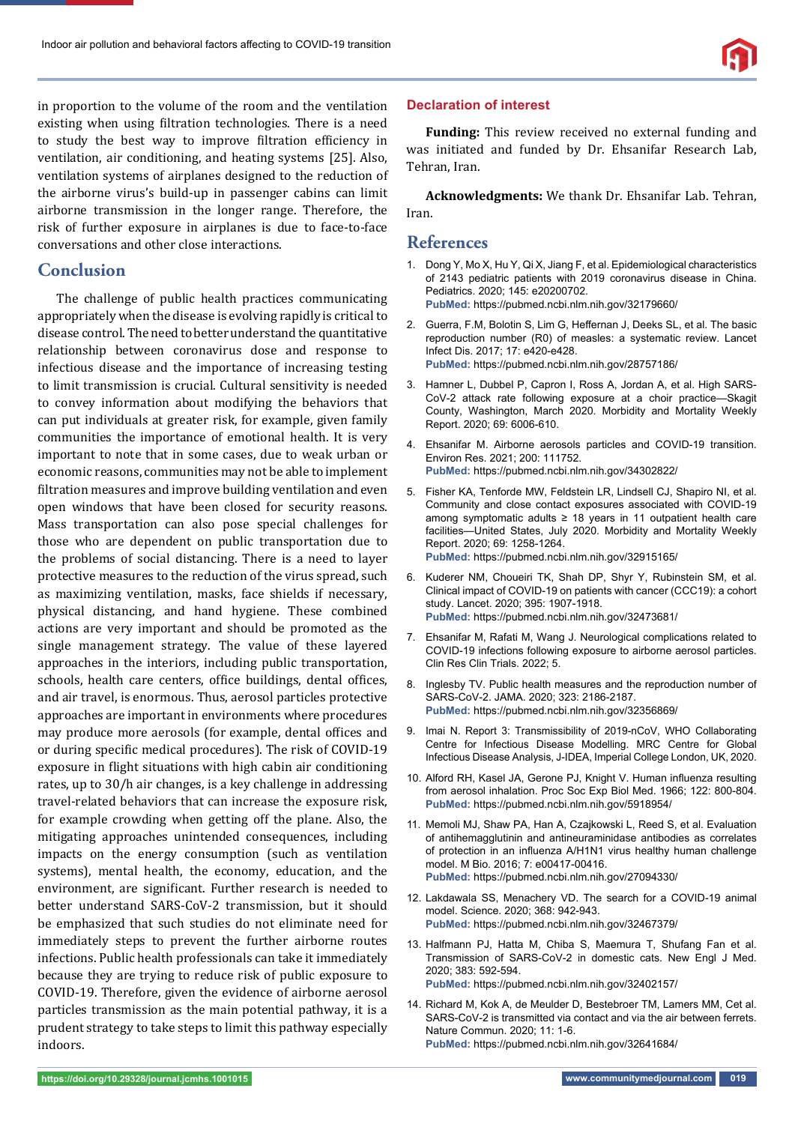

in proportion to the volume of the room and the ventilation existing when using filtration technologies. There is a need to study the best way to improve filtration efficiency in ventilation, air conditioning, and heating systems [25]. Also, ventilation systems of airplanes designed to the reduction of the airborne virus's build-up in passenger cabins can limit airborne transmission in the longer range. Therefore, the risk of further exposure in airplanes is due to face-to-face conversations and other close interactions.

## **Conclusion**

The challenge of public health practices communicating appropriately when the disease is evolving rapidly is critical to disease control. The need to better understand the quantitative relationship between coronavirus dose and response to infectious disease and the importance of increasing testing to limit transmission is crucial. Cultural sensitivity is needed to convey information about modifying the behaviors that can put individuals at greater risk, for example, given family communities the importance of emotional health. It is very important to note that in some cases, due to weak urban or economic reasons, communities may not be able to implement filtration measures and improve building ventilation and even open windows that have been closed for security reasons. Mass transportation can also pose special challenges for those who are dependent on public transportation due to the problems of social distancing. There is a need to layer protective measures to the reduction of the virus spread, such as maximizing ventilation, masks, face shields if necessary, physical distancing, and hand hygiene. These combined actions are very important and should be promoted as the single management strategy. The value of these layered approaches in the interiors, including public transportation, schools, health care centers, office buildings, dental offices, and air travel, is enormous. Thus, aerosol particles protective approaches are important in environments where procedures may produce more aerosols (for example, dental offices and or during specific medical procedures). The risk of COVID-19 exposure in flight situations with high cabin air conditioning rates, up to 30/h air changes, is a key challenge in addressing travel-related behaviors that can increase the exposure risk, for example crowding when getting off the plane. Also, the mitigating approaches unintended consequences, including impacts on the energy consumption (such as ventilation systems), mental health, the economy, education, and the environment, are significant. Further research is needed to better understand SARS-CoV-2 transmission, but it should be emphasized that such studies do not eliminate need for immediately steps to prevent the further airborne routes infections. Public health professionals can take it immediately because they are trying to reduce risk of public exposure to COVID-19. Therefore, given the evidence of airborne aerosol particles transmission as the main potential pathway, it is a prudent strategy to take steps to limit this pathway especially indoors.

#### **Declaration of interest**

**Funding:** This review received no external funding and was initiated and funded by Dr. Ehsanifar Research Lab, Tehran, Iran.

**Acknowledgments:** We thank Dr. Ehsanifar Lab. Tehran, Iran.

## **References**

- 1. Dong Y, Mo X, Hu Y, Qi X, Jiang F, et al. Epidemiological characteristics of 2143 pediatric patients with 2019 coronavirus disease in China. Pediatrics. 2020; 145: e20200702. **PubMed:** https://pubmed.ncbi.nlm.nih.gov/32179660/
- 2. Guerra, F.M, Bolotin S, Lim G, Heffernan J, Deeks SL, et al. The basic reproduction number (R0) of measles: a systematic review. Lancet Infect Dis. 2017; 17: e420-e428. **PubMed:** https://pubmed.ncbi.nlm.nih.gov/28757186/
- 3. Hamner L, Dubbel P, Capron I, Ross A, Jordan A, et al. High SARS-CoV-2 attack rate following exposure at a choir practice—Skagit County, Washington, March 2020. Morbidity and Mortality Weekly Report. 2020; 69: 6006-610.
- 4. Ehsanifar M. Airborne aerosols particles and COVID-19 transition. Environ Res. 2021; 200: 111752. **PubMed:** https://pubmed.ncbi.nlm.nih.gov/34302822/
- 5. Fisher KA, Tenforde MW, Feldstein LR, Lindsell CJ, Shapiro NI, et al. Community and close contact exposures associated with COVID-19 among symptomatic adults ≥ 18 years in 11 outpatient health care facilities—United States, July 2020. Morbidity and Mortality Weekly Report. 2020; 69: 1258-1264. **PubMed:** https://pubmed.ncbi.nlm.nih.gov/32915165/
- 6. Kuderer NM, Choueiri TK, Shah DP, Shyr Y, Rubinstein SM, et al. Clinical impact of COVID-19 on patients with cancer (CCC19): a cohort study. Lancet. 2020; 395: 1907-1918. **PubMed:** https://pubmed.ncbi.nlm.nih.gov/32473681/
- 7. Ehsanifar M, Rafati M, Wang J. Neurological complications related to COVID-19 infections following exposure to airborne aerosol particles. Clin Res Clin Trials. 2022; 5.
- 8. Inglesby TV. Public health measures and the reproduction number of SARS-CoV-2. JAMA. 2020; 323: 2186-2187. **PubMed:** https://pubmed.ncbi.nlm.nih.gov/32356869/
- 9. Imai N. Report 3: Transmissibility of 2019-nCoV, WHO Collaborating Centre for Infectious Disease Modelling. MRC Centre for Global Infectious Disease Analysis, J-IDEA, Imperial College London, UK, 2020.
- 10. Alford RH, Kasel JA, Gerone PJ, Knight V. Human influenza resulting from aerosol inhalation. Proc Soc Exp Biol Med. 1966; 122: 800-804. **PubMed:** https://pubmed.ncbi.nlm.nih.gov/5918954/
- 11. Memoli MJ, Shaw PA, Han A, Czajkowski L, Reed S, et al. Evaluation of antihemagglutinin and antineuraminidase antibodies as correlates of protection in an influenza A/H1N1 virus healthy human challenge model. M Bio. 2016; 7: e00417-00416. **PubMed:** https://pubmed.ncbi.nlm.nih.gov/27094330/
- 12. Lakdawala SS, Menachery VD. The search for a COVID-19 animal model. Science. 2020; 368: 942-943. **PubMed:** https://pubmed.ncbi.nlm.nih.gov/32467379/
- 13. Halfmann PJ, Hatta M, Chiba S, Maemura T, Shufang Fan et al. Transmission of SARS-CoV-2 in domestic cats. New Engl J Med. 2020; 383: 592-594. **PubMed:** https://pubmed.ncbi.nlm.nih.gov/32402157/
- 14. Richard M, Kok A, de Meulder D, Bestebroer TM, Lamers MM, Cet al. SARS-CoV-2 is transmitted via contact and via the air between ferrets. Nature Commun. 2020; 11: 1-6. **PubMed:** https://pubmed.ncbi.nlm.nih.gov/32641684/